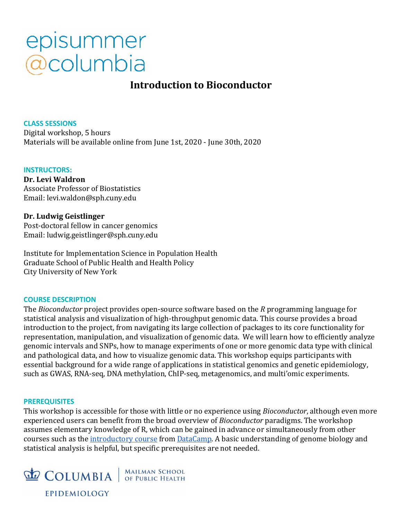## episummer @columbia

### **Introduction to Bioconductor**

**CLASS SESSIONS** Digital workshop, 5 hours Materials will be available online from June 1st, 2020 - June 30th, 2020

#### **INSTRUCTORS:**

**Dr. Levi Waldron** Associate Professor of Biostatistics Email: levi.waldon@sph.cuny.edu

#### **Dr. Ludwig Geistlinger**

Post-doctoral fellow in cancer genomics Email: ludwig.geistlinger@sph.cuny.edu

Institute for Implementation Science in Population Health Graduate School of Public Health and Health Policy City University of New York

#### **COURSE DESCRIPTION**

The *Bioconductor* project provides open-source software based on the *R* programming language for statistical analysis and visualization of high-throughput genomic data. This course provides a broad introduction to the project, from navigating its large collection of packages to its core functionality for representation, manipulation, and visualization of genomic data. We will learn how to efficiently analyze genomic intervals and SNPs, how to manage experiments of one or more genomic data type with clinical and pathological data, and how to visualize genomic data. This workshop equips participants with essential background for a wide range of applications in statistical genomics and genetic epidemiology, such as GWAS, RNA-seq, DNA methylation, ChIP-seq, metagenomics, and multi'omic experiments.

#### **PREREQUISITES**

This workshop is accessible for those with little or no experience using *Bioconductor*, although even more experienced users can benefit from the broad overview of *Bioconductor* paradigms. The workshop assumes elementary knowledge of R, which can be gained in advance or simultaneously from other courses such as the *introductory course* from *DataCamp*. A basic understanding of genome biology and statistical analysis is helpful, but specific prerequisites are not needed.

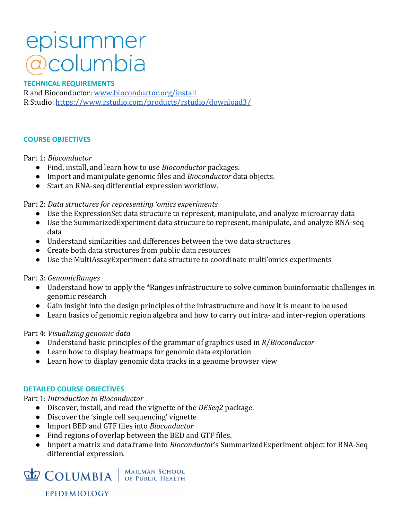## episummer *@columbia*

#### **TECHNICAL REQUIREMENTS**

R and Bioconductor: www.bioconductor.org/install R Studio: https://www.rstudio.com/products/rstudio/download3/

#### **COURSE OBJECTIVES**

#### Part 1: *Bioconductor*

- Find, install, and learn how to use *Bioconductor* packages.
- **•** Import and manipulate genomic files and *Bioconductor* data objects.
- Start an RNA-seq differential expression workflow.

#### Part 2: Data structures for representing 'omics experiments

- Use the ExpressionSet data structure to represent, manipulate, and analyze microarray data
- Use the SummarizedExperiment data structure to represent, manipulate, and analyze RNA-seq data
- $\bullet$  Understand similarities and differences between the two data structures
- Create both data structures from public data resources
- Use the MultiAssayExperiment data structure to coordinate multi'omics experiments

#### Part 3: *GenomicRanges*

- Understand how to apply the \*Ranges infrastructure to solve common bioinformatic challenges in genomic research
- Gain insight into the design principles of the infrastructure and how it is meant to be used
- Learn basics of genomic region algebra and how to carry out intra- and inter-region operations

#### Part 4: *Visualizing genomic data*

- Understand basic principles of the grammar of graphics used in *R*/*Bioconductor*
- Learn how to display heatmaps for genomic data exploration
- Learn how to display genomic data tracks in a genome browser view

#### **DETAILED COURSE OBJECTIVES**

**EPIDEMIOLOGY** 

#### Part 1: *Introduction to Bioconductor*

- Discover, install, and read the vignette of the *DESeq2* package.
- Discover the 'single cell sequencing' vignette
- Import BED and GTF files into *Bioconductor*
- Find regions of overlap between the BED and GTF files.
- Import a matrix and data.frame into *Bioconductor's* SummarizedExperiment object for RNA-Seq differential expression.

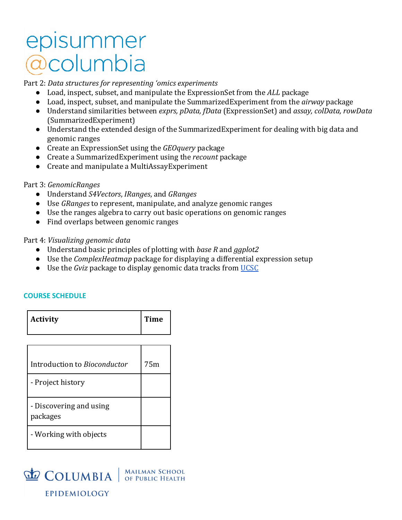### episummer acolumbia

Part 2: Data structures for representing 'omics experiments

- Load, inspect, subset, and manipulate the ExpressionSet from the *ALL* package
- Load, inspect, subset, and manipulate the SummarizedExperiment from the *airway* package
- Understand similarities between *exprs, pData, fData* (ExpressionSet) and *assay, colData, rowData* (SummarizedExperiment)
- Understand the extended design of the SummarizedExperiment for dealing with big data and genomic ranges
- Create an ExpressionSet using the *GEOquery* package
- Create a SummarizedExperiment using the *recount* package
- Create and manipulate a MultiAssayExperiment

#### Part 3: *GenomicRanges*

- Understand *S4Vectors*, *IRanges*, and *GRanges*
- Use *GRanges* to represent, manipulate, and analyze genomic ranges
- Use the ranges algebra to carry out basic operations on genomic ranges
- Find overlaps between genomic ranges

#### Part 4: *Visualizing genomic data*

- Understand basic principles of plotting with *base R* and *ggplot2*
- Use the *ComplexHeatmap* package for displaying a differential expression setup
- Use the *Gviz* package to display genomic data tracks from UCSC

#### **COURSE SCHEDULE**

| Activity | Time |
|----------|------|
|          |      |

| Introduction to <i>Bioconductor</i> | 75m |
|-------------------------------------|-----|
| - Project history                   |     |
| - Discovering and using<br>packages |     |
| - Working with objects              |     |

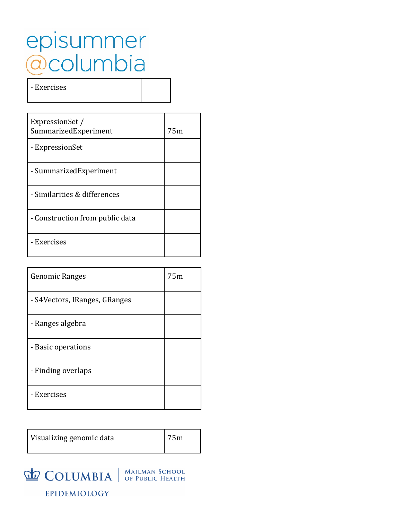## episummer<br>@columbia

- Exercises

| ExpressionSet /<br>SummarizedExperiment | 75m |
|-----------------------------------------|-----|
| - ExpressionSet                         |     |
| - SummarizedExperiment                  |     |
| - Similarities & differences            |     |
| - Construction from public data         |     |
| - Exercises                             |     |

| <b>Genomic Ranges</b>         | 75m |
|-------------------------------|-----|
| - S4Vectors, IRanges, GRanges |     |
| - Ranges algebra              |     |
| - Basic operations            |     |
| - Finding overlaps            |     |
| - Exercises                   |     |

| Visualizing genomic data | 75m |
|--------------------------|-----|
|--------------------------|-----|